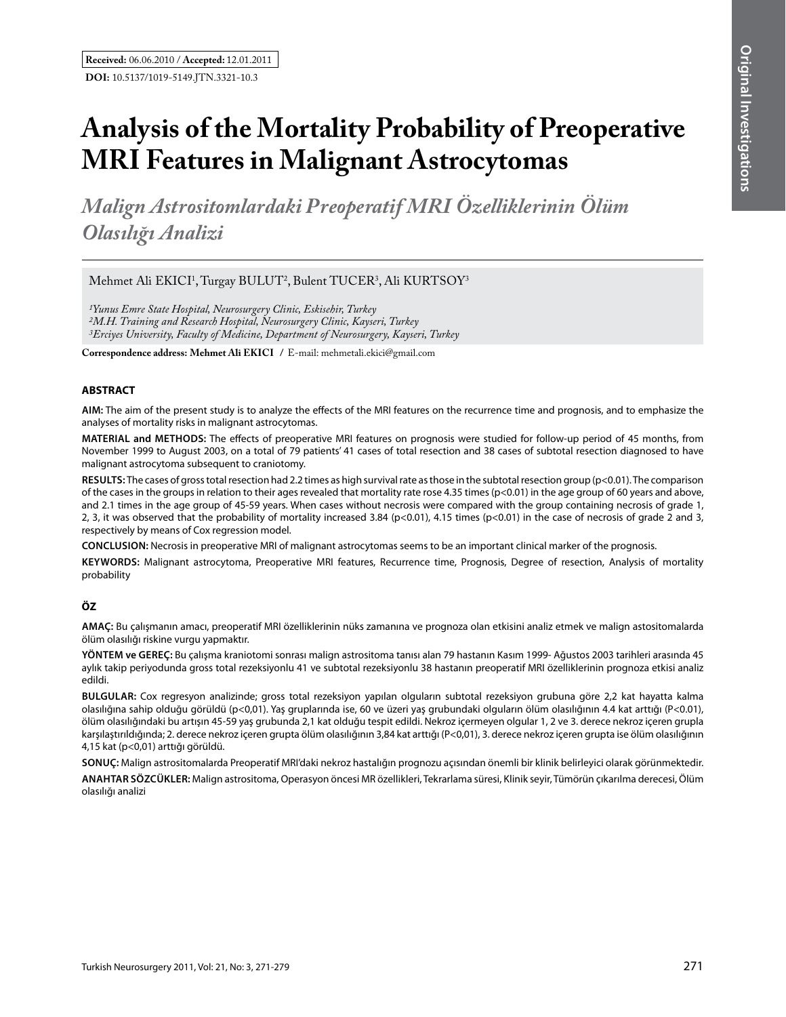# **Analysis of the Mortality Probability of Preoperative MRI Features in Malignant Astrocytomas**

*Malign Astrositomlardaki Preoperatif Mrı Özelliklerinin Ölüm Olasılığı Analizi*

Mehmet Ali EKICI<sup>1</sup>, Turgay BULUT<sup>2</sup>, Bulent TUCER<sup>3</sup>, Ali KURTSOY<sup>3</sup>

*1Yunus Emre State Hospital, Neurosurgery Clinic, Eskisehir, Turkey 2M.H.Training and Research Hospital, Neurosurgery Clinic, Kayseri, Turkey 3Erciyes University, Faculty of Medicine, Department of Neurosurgery, Kayseri, Turkey*

**Correspondence address: Mehmet Ali EkIcI /** E-mail: mehmetali.ekici@gmail.com

## **ABSTRACT**

**AIm:** The aim of the present study is to analyze the effects of the MRI features on the recurrence time and prognosis, and to emphasize the analyses of mortality risks in malignant astrocytomas.

**MaterIal and Methods:** The effects of preoperative MRI features on prognosis were studied for follow-up period of 45 months, from November 1999 to August 2003, on a total of 79 patients' 41 cases of total resection and 38 cases of subtotal resection diagnosed to have malignant astrocytoma subsequent to craniotomy.

**Results:** The cases of gross total resection had 2.2 times as high survival rate as those in the subtotal resection group (p<0.01). The comparison of the cases in the groups in relation to their ages revealed that mortality rate rose 4.35 times (p<0.01) in the age group of 60 years and above, and 2.1 times in the age group of 45-59 years. When cases without necrosis were compared with the group containing necrosis of grade 1, 2, 3, it was observed that the probability of mortality increased 3.84 (p<0.01), 4.15 times (p<0.01) in the case of necrosis of grade 2 and 3, respectively by means of Cox regression model.

**ConclusIon:** Necrosis in preoperative MRI of malignant astrocytomas seems to be an important clinical marker of the prognosis.

**Keywords:** Malignant astrocytoma, Preoperative MRI features, Recurrence time, Prognosis, Degree of resection, Analysis of mortality probability

# **ÖZ**

**AMAÇ:** Bu çalışmanın amacı, preoperatif MRI özelliklerinin nüks zamanına ve prognoza olan etkisini analiz etmek ve malign astositomalarda ölüm olasılığı riskine vurgu yapmaktır.

**YÖNTEM ve GEREÇ:** Bu çalışma kraniotomi sonrası malign astrositoma tanısı alan 79 hastanın Kasım 1999- Ağustos 2003 tarihleri arasında 45 aylık takip periyodunda gross total rezeksiyonlu 41 ve subtotal rezeksiyonlu 38 hastanın preoperatif MRI özelliklerinin prognoza etkisi analiz edildi.

**BULGULAR:** Cox regresyon analizinde; gross total rezeksiyon yapılan olguların subtotal rezeksiyon grubuna göre 2,2 kat hayatta kalma olasılığına sahip olduğu görüldü (p<0,01). Yaş gruplarında ise, 60 ve üzeri yaş grubundaki olguların ölüm olasılığının 4.4 kat arttığı (P<0.01), ölüm olasılığındaki bu artışın 45-59 yaş grubunda 2,1 kat olduğu tespit edildi. Nekroz içermeyen olgular 1, 2 ve 3. derece nekroz içeren grupla karşılaştırıldığında; 2. derece nekroz içeren grupta ölüm olasılığının 3,84 kat arttığı (P<0,01), 3. derece nekroz içeren grupta ise ölüm olasılığının 4,15 kat (p<0,01) arttığı görüldü.

**SONUÇ:** Malign astrositomalarda Preoperatif MRI'daki nekroz hastalığın prognozu açısından önemli bir klinik belirleyici olarak görünmektedir.

**ANAHTAR SÖZCÜKLER:** Malign astrositoma, Operasyon öncesi MR özellikleri, Tekrarlama süresi, Klinik seyir, Tümörün çıkarılma derecesi, Ölüm olasılığı analizi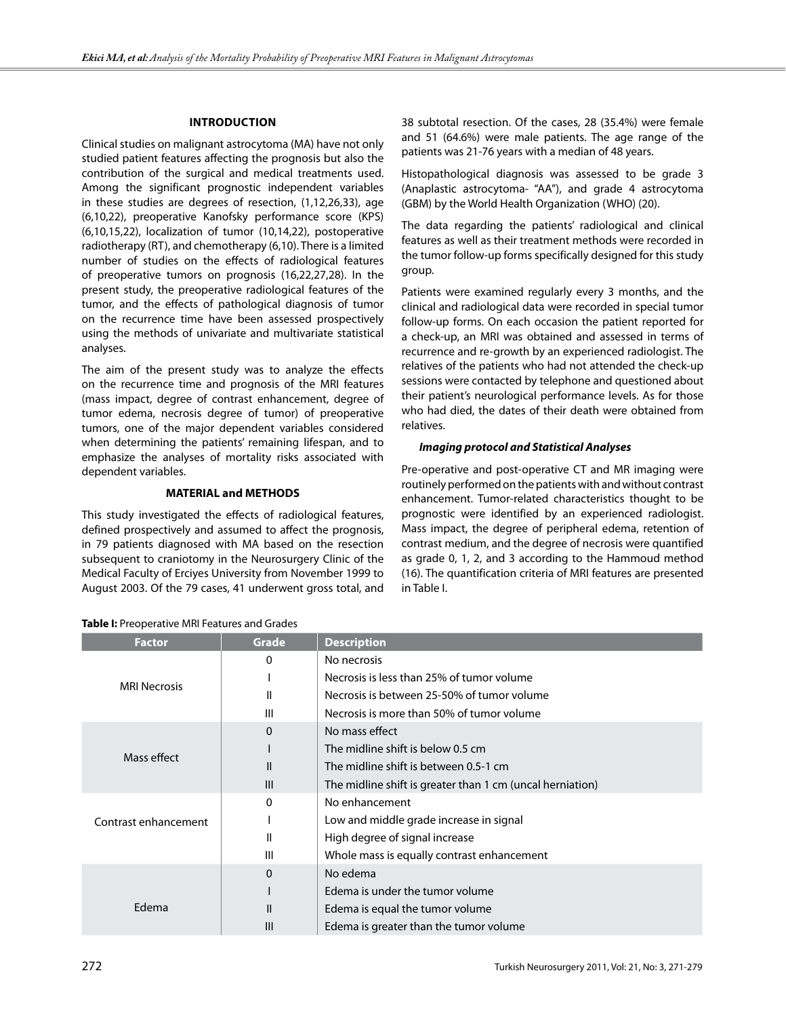#### **IntroductIon**

Clinical studies on malignant astrocytoma (MA) have not only studied patient features affecting the prognosis but also the contribution of the surgical and medical treatments used. Among the significant prognostic independent variables in these studies are degrees of resection, (1,12,26,33), age (6,10,22), preoperative Kanofsky performance score (KPS) (6,10,15,22), localization of tumor (10,14,22), postoperative radiotherapy (RT), and chemotherapy (6,10). There is a limited number of studies on the effects of radiological features of preoperative tumors on prognosis (16,22,27,28). In the present study, the preoperative radiological features of the tumor, and the effects of pathological diagnosis of tumor on the recurrence time have been assessed prospectively using the methods of univariate and multivariate statistical analyses.

The aim of the present study was to analyze the effects on the recurrence time and prognosis of the MRI features (mass impact, degree of contrast enhancement, degree of tumor edema, necrosis degree of tumor) of preoperative tumors, one of the major dependent variables considered when determining the patients' remaining lifespan, and to emphasize the analyses of mortality risks associated with dependent variables.

## **MATERIAL and METHODS**

This study investigated the effects of radiological features, defined prospectively and assumed to affect the prognosis, in 79 patients diagnosed with MA based on the resection subsequent to craniotomy in the Neurosurgery Clinic of the Medical Faculty of Erciyes University from November 1999 to August 2003. Of the 79 cases, 41 underwent gross total, and 38 subtotal resection. Of the cases, 28 (35.4%) were female and 51 (64.6%) were male patients. The age range of the patients was 21-76 years with a median of 48 years.

Histopathological diagnosis was assessed to be grade 3 (Anaplastic astrocytoma- "AA"), and grade 4 astrocytoma (GBM) by the World Health Organization (WHO) (20).

The data regarding the patients' radiological and clinical features as well as their treatment methods were recorded in the tumor follow-up forms specifically designed for this study group.

Patients were examined regularly every 3 months, and the clinical and radiological data were recorded in special tumor follow-up forms. On each occasion the patient reported for a check-up, an MRI was obtained and assessed in terms of recurrence and re-growth by an experienced radiologist. The relatives of the patients who had not attended the check-up sessions were contacted by telephone and questioned about their patient's neurological performance levels. As for those who had died, the dates of their death were obtained from relatives.

#### *Imaging protocol and Statistical Analyses*

Pre-operative and post-operative CT and MR imaging were routinely performed on the patients with and without contrast enhancement. Tumor-related characteristics thought to be prognostic were identified by an experienced radiologist. Mass impact, the degree of peripheral edema, retention of contrast medium, and the degree of necrosis were quantified as grade 0, 1, 2, and 3 according to the Hammoud method (16). The quantification criteria of MRI features are presented in Table I.

| <b>Factor</b>        | Grade         | <b>Description</b>                                        |  |  |
|----------------------|---------------|-----------------------------------------------------------|--|--|
| <b>MRI Necrosis</b>  | 0             | No necrosis                                               |  |  |
|                      |               | Necrosis is less than 25% of tumor volume                 |  |  |
|                      | Ш             | Necrosis is between 25-50% of tumor volume                |  |  |
|                      | III           | Necrosis is more than 50% of tumor volume                 |  |  |
| Mass effect          | $\mathbf 0$   | No mass effect                                            |  |  |
|                      |               | The midline shift is below 0.5 cm                         |  |  |
|                      | $\mathsf{II}$ | The midline shift is between 0.5-1 cm                     |  |  |
|                      | III           | The midline shift is greater than 1 cm (uncal herniation) |  |  |
| Contrast enhancement | 0             | No enhancement                                            |  |  |
|                      |               | Low and middle grade increase in signal                   |  |  |
|                      | Ш             | High degree of signal increase                            |  |  |
|                      | Ш             | Whole mass is equally contrast enhancement                |  |  |
| Edema                | $\mathbf 0$   | No edema                                                  |  |  |
|                      |               | Edema is under the tumor volume                           |  |  |
|                      | Ш             | Edema is equal the tumor volume                           |  |  |
|                      | III           | Edema is greater than the tumor volume                    |  |  |

**Table I:** Preoperative MRI Features and Grades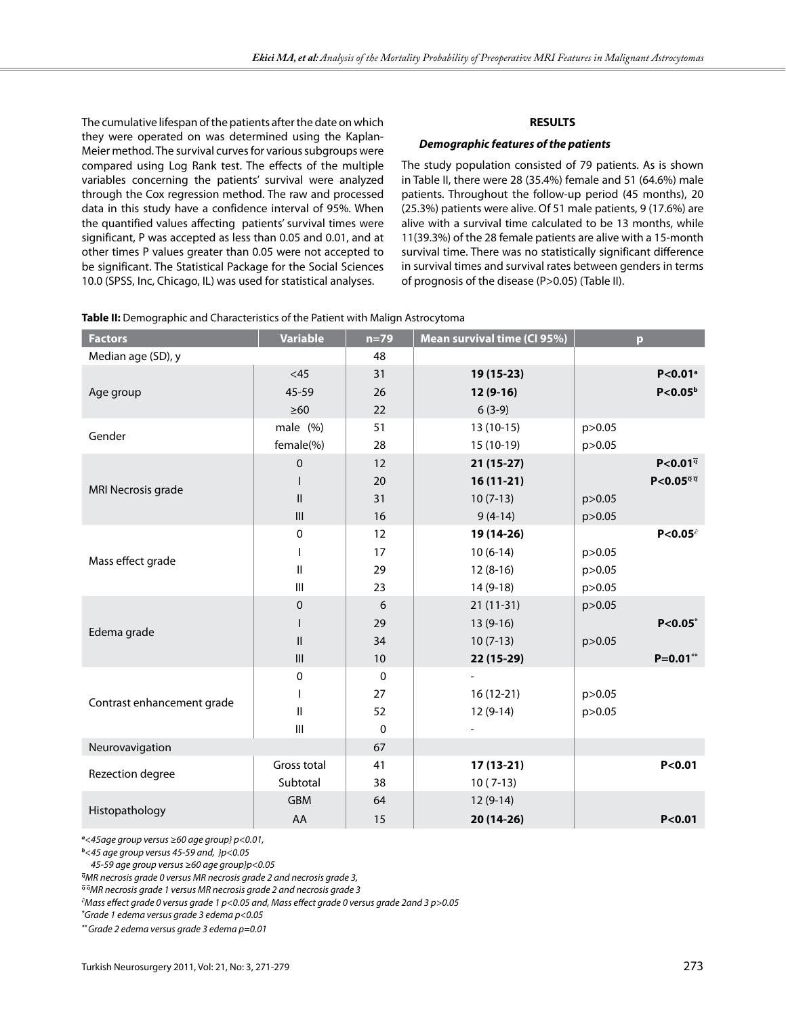The cumulative lifespan of the patients after the date on which they were operated on was determined using the Kaplan-Meier method. The survival curves for various subgroups were compared using Log Rank test. The effects of the multiple variables concerning the patients' survival were analyzed through the Cox regression method. The raw and processed data in this study have a confidence interval of 95%. When the quantified values affecting patients' survival times were significant, P was accepted as less than 0.05 and 0.01, and at other times P values greater than 0.05 were not accepted to be significant. The Statistical Package for the Social Sciences 10.0 (SPSS, Inc, Chicago, IL) was used for statistical analyses.

# **RESULTS**

#### *Demographic features of the patients*

The study population consisted of 79 patients. As is shown in Table II, there were 28 (35.4%) female and 51 (64.6%) male patients. Throughout the follow-up period (45 months), 20 (25.3%) patients were alive. Of 51 male patients, 9 (17.6%) are alive with a survival time calculated to be 13 months, while 11(39.3%) of the 28 female patients are alive with a 15-month survival time. There was no statistically significant difference in survival times and survival rates between genders in terms of prognosis of the disease (P>0.05) (Table II).

| <b>Factors</b>             | <b>Variable</b>                    | $n=79$      | Mean survival time (CI 95%) | p.                                                             |
|----------------------------|------------------------------------|-------------|-----------------------------|----------------------------------------------------------------|
| Median age (SD), y         |                                    | 48          |                             |                                                                |
|                            | <45                                | 31          | 19 (15-23)                  | $P < 0.01$ <sup>a</sup>                                        |
| Age group                  | 45-59                              | 26          | $12(9-16)$                  | P < 0.05 <sup>b</sup>                                          |
|                            | $\geq 60$                          | 22          | $6(3-9)$                    |                                                                |
|                            | male (%)                           | 51          | $13(10-15)$                 | p > 0.05                                                       |
| Gender                     | female(%)                          | 28          | 15 (10-19)                  | p>0.05                                                         |
|                            | 0                                  | 12          | $21(15-27)$                 | $P < 0.01^{\overline{Q}}$                                      |
|                            |                                    | 20          | $16(11-21)$                 | $P < 0.05^{\overline{q}}$ <sup><math>\overline{q}</math></sup> |
| MRI Necrosis grade         | $\mathbf{II}$                      | 31          | $10(7-13)$                  | p > 0.05                                                       |
|                            | $\mathbf{III}$                     | 16          | $9(4-14)$                   | p > 0.05                                                       |
|                            | 0                                  | 12          | 19 (14-26)                  | P < 0.05                                                       |
|                            | $\mathsf{I}$                       | 17          | $10(6-14)$                  | p > 0.05                                                       |
| Mass effect grade          | Ш                                  | 29          | $12(8-16)$                  | p > 0.05                                                       |
|                            | $\mathbf{III}$                     | 23          | $14(9-18)$                  | p>0.05                                                         |
|                            | 0                                  | 6           | $21(11-31)$                 | p>0.05                                                         |
|                            | $\mathsf{I}$                       | 29          | $13(9-16)$                  | $P < 0.05^*$                                                   |
| Edema grade                | $\ensuremath{\mathsf{II}}$         | 34          | $10(7-13)$                  | p > 0.05                                                       |
|                            | $\ensuremath{\mathsf{III}}\xspace$ | $10\,$      | 22 (15-29)                  | $P=0.01**$                                                     |
|                            | 0                                  | $\pmb{0}$   |                             |                                                                |
|                            |                                    | 27          | $16(12-21)$                 | p > 0.05                                                       |
| Contrast enhancement grade | $\sf II$                           | 52          | $12(9-14)$                  | p > 0.05                                                       |
|                            | $\mathsf{III}\,$                   | $\mathbf 0$ |                             |                                                                |
| Neurovavigation            |                                    | 67          |                             |                                                                |
|                            | Gross total                        | 41          | $17(13-21)$                 | P < 0.01                                                       |
| Rezection degree           | Subtotal                           | 38          | $10(7-13)$                  |                                                                |
|                            | <b>GBM</b>                         | 64          | $12(9-14)$                  |                                                                |
| Histopathology             | AA                                 | 15          | $20(14-26)$                 | P < 0.01                                                       |

**Table II:** Demographic and Characteristics of the Patient with Malign Astrocytoma

*a <45age group versus ≥60 age group} p<0.01,* 

*b <45 age group versus 45-59 and, }p<0.05*

 *45-59 age group versus ≥60 age group}p<0.05*

*<sup>q</sup>MR necrosis grade 0 versus MR necrosis grade 2 and necrosis grade 3,* 

*<sup>q</sup> <sup>q</sup>MR necrosis grade 1 versus MR necrosis grade 2 and necrosis grade 3*

*∂ Mass effect grade 0 versus grade 1 p<0.05 and, Mass effect grade 0 versus grade 2and 3 p>0.05*

*\* Grade 1 edema versus grade 3 edema p<0.05*

*\*\* Grade 2 edema versus grade 3 edema p=0.01*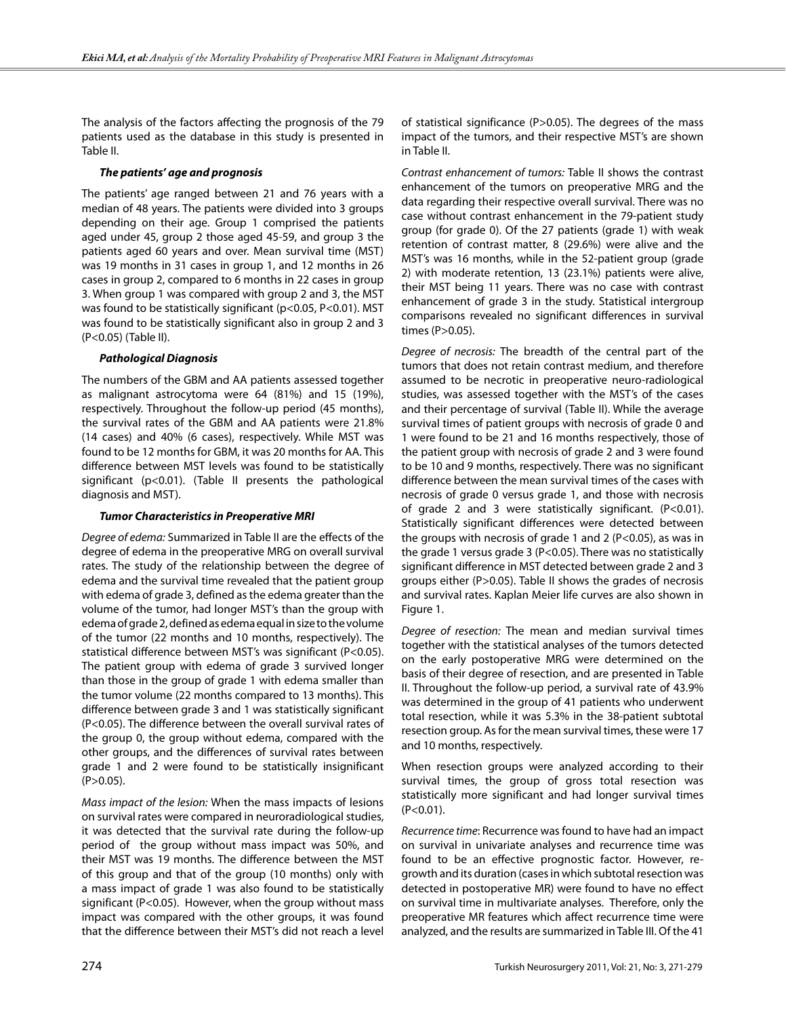The analysis of the factors affecting the prognosis of the 79 patients used as the database in this study is presented in Table II.

## *The patients' age and prognosis*

The patients' age ranged between 21 and 76 years with a median of 48 years. The patients were divided into 3 groups depending on their age. Group 1 comprised the patients aged under 45, group 2 those aged 45-59, and group 3 the patients aged 60 years and over. Mean survival time (MST) was 19 months in 31 cases in group 1, and 12 months in 26 cases in group 2, compared to 6 months in 22 cases in group 3. When group 1 was compared with group 2 and 3, the MST was found to be statistically significant (p<0.05, P<0.01). MST was found to be statistically significant also in group 2 and 3 (P<0.05) (Table II).

# *Pathological Diagnosis*

The numbers of the GBM and AA patients assessed together as malignant astrocytoma were 64 (81%) and 15 (19%), respectively. Throughout the follow-up period (45 months), the survival rates of the GBM and AA patients were 21.8% (14 cases) and 40% (6 cases), respectively. While MST was found to be 12 months for GBM, it was 20 months for AA. This difference between MST levels was found to be statistically significant (p<0.01). (Table II presents the pathological diagnosis and MST).

# *Tumor Characteristics in Preoperative MRI*

*Degree of edema:* Summarized in Table II are the effects of the degree of edema in the preoperative MRG on overall survival rates. The study of the relationship between the degree of edema and the survival time revealed that the patient group with edema of grade 3, defined as the edema greater than the volume of the tumor, had longer MST's than the group with edema of grade 2, defined as edema equal in size to the volume of the tumor (22 months and 10 months, respectively). The statistical difference between MST's was significant (P<0.05). The patient group with edema of grade 3 survived longer than those in the group of grade 1 with edema smaller than the tumor volume (22 months compared to 13 months). This difference between grade 3 and 1 was statistically significant (P<0.05). The difference between the overall survival rates of the group 0, the group without edema, compared with the other groups, and the differences of survival rates between grade 1 and 2 were found to be statistically insignificant  $(P>0.05)$ .

*Mass impact of the lesion:* When the mass impacts of lesions on survival rates were compared in neuroradiological studies, it was detected that the survival rate during the follow-up period of the group without mass impact was 50%, and their MST was 19 months. The difference between the MST of this group and that of the group (10 months) only with a mass impact of grade 1 was also found to be statistically significant (P<0.05). However, when the group without mass impact was compared with the other groups, it was found that the difference between their MST's did not reach a level

of statistical significance (P>0.05). The degrees of the mass impact of the tumors, and their respective MST's are shown in Table II.

*Contrast enhancement of tumors:* Table II shows the contrast enhancement of the tumors on preoperative MRG and the data regarding their respective overall survival. There was no case without contrast enhancement in the 79-patient study group (for grade 0). Of the 27 patients (grade 1) with weak retention of contrast matter, 8 (29.6%) were alive and the MST's was 16 months, while in the 52-patient group (grade 2) with moderate retention, 13 (23.1%) patients were alive, their MST being 11 years. There was no case with contrast enhancement of grade 3 in the study. Statistical intergroup comparisons revealed no significant differences in survival times (P>0.05).

*Degree of necrosis:* The breadth of the central part of the tumors that does not retain contrast medium, and therefore assumed to be necrotic in preoperative neuro-radiological studies, was assessed together with the MST's of the cases and their percentage of survival (Table II). While the average survival times of patient groups with necrosis of grade 0 and 1 were found to be 21 and 16 months respectively, those of the patient group with necrosis of grade 2 and 3 were found to be 10 and 9 months, respectively. There was no significant difference between the mean survival times of the cases with necrosis of grade 0 versus grade 1, and those with necrosis of grade 2 and 3 were statistically significant. (P<0.01). Statistically significant differences were detected between the groups with necrosis of grade 1 and 2 (P<0.05), as was in the grade 1 versus grade 3 (P<0.05). There was no statistically significant difference in MST detected between grade 2 and 3 groups either (P>0.05). Table II shows the grades of necrosis and survival rates. Kaplan Meier life curves are also shown in Figure 1.

*Degree of resection:* The mean and median survival times together with the statistical analyses of the tumors detected on the early postoperative MRG were determined on the basis of their degree of resection, and are presented in Table II. Throughout the follow-up period, a survival rate of 43.9% was determined in the group of 41 patients who underwent total resection, while it was 5.3% in the 38-patient subtotal resection group. As for the mean survival times, these were 17 and 10 months, respectively.

When resection groups were analyzed according to their survival times, the group of gross total resection was statistically more significant and had longer survival times  $(P<0.01)$ .

*Recurrence time*: Recurrence was found to have had an impact on survival in univariate analyses and recurrence time was found to be an effective prognostic factor. However, regrowth and its duration (cases in which subtotal resection was detected in postoperative MR) were found to have no effect on survival time in multivariate analyses. Therefore, only the preoperative MR features which affect recurrence time were analyzed, and the results are summarized in Table III. Of the 41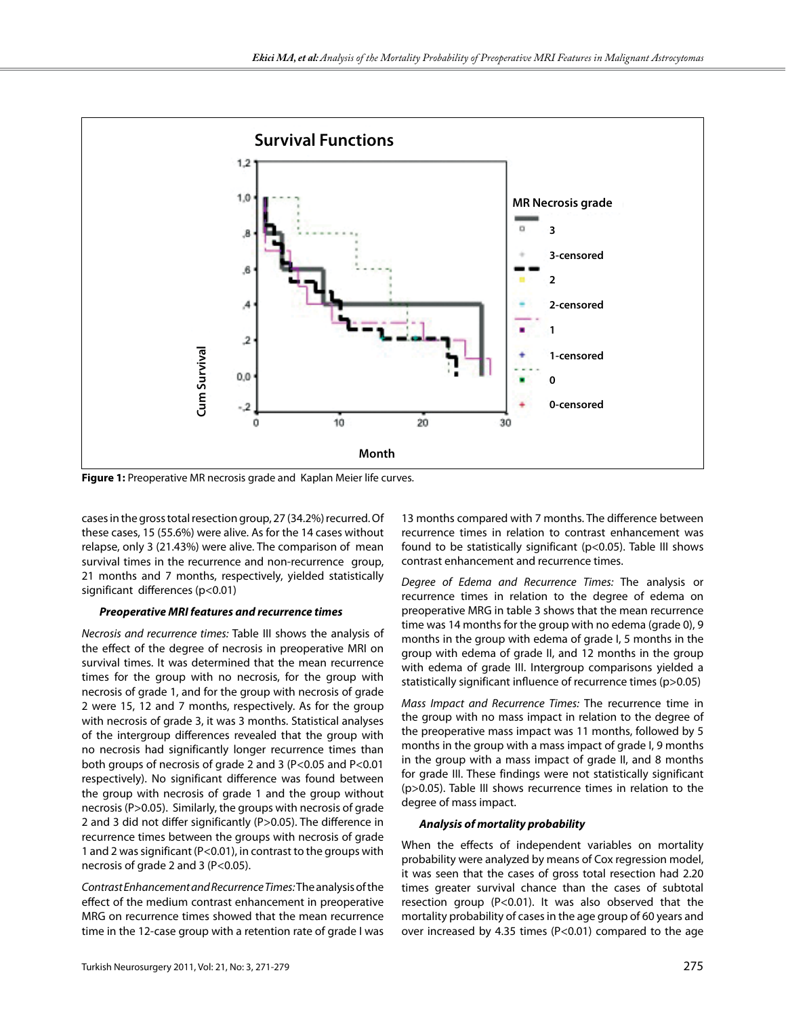

cases in the gross total resection group, 27 (34.2%) recurred. Of these cases, 15 (55.6%) were alive. As for the 14 cases without relapse, only 3 (21.43%) were alive. The comparison of mean survival times in the recurrence and non-recurrence group, 21 months and 7 months, respectively, yielded statistically significant differences (p<0.01)

#### *Preoperative MRI features and recurrence times*

*Necrosis and recurrence times:* Table III shows the analysis of the effect of the degree of necrosis in preoperative MRI on survival times. It was determined that the mean recurrence times for the group with no necrosis, for the group with necrosis of grade 1, and for the group with necrosis of grade 2 were 15, 12 and 7 months, respectively. As for the group with necrosis of grade 3, it was 3 months. Statistical analyses of the intergroup differences revealed that the group with no necrosis had significantly longer recurrence times than both groups of necrosis of grade 2 and 3 (P<0.05 and P<0.01 respectively). No significant difference was found between the group with necrosis of grade 1 and the group without necrosis (P>0.05). Similarly, the groups with necrosis of grade 2 and 3 did not differ significantly (P>0.05). The difference in recurrence times between the groups with necrosis of grade 1 and 2 was significant (P<0.01), in contrast to the groups with necrosis of grade 2 and 3 (P<0.05).

*Contrast Enhancement and Recurrence Times:* The analysis of the effect of the medium contrast enhancement in preoperative MRG on recurrence times showed that the mean recurrence time in the 12-case group with a retention rate of grade I was

13 months compared with 7 months. The difference between recurrence times in relation to contrast enhancement was found to be statistically significant (p<0.05). Table III shows contrast enhancement and recurrence times.

*Degree of Edema and Recurrence Times:* The analysis or recurrence times in relation to the degree of edema on preoperative MRG in table 3 shows that the mean recurrence time was 14 months for the group with no edema (grade 0), 9 months in the group with edema of grade I, 5 months in the group with edema of grade II, and 12 months in the group with edema of grade III. Intergroup comparisons yielded a statistically significant influence of recurrence times (p>0.05)

*Mass Impact and Recurrence Times:* The recurrence time in the group with no mass impact in relation to the degree of the preoperative mass impact was 11 months, followed by 5 months in the group with a mass impact of grade I, 9 months in the group with a mass impact of grade II, and 8 months for grade III. These findings were not statistically significant (p>0.05). Table III shows recurrence times in relation to the degree of mass impact.

#### *Analysis of mortality probability*

When the effects of independent variables on mortality probability were analyzed by means of Cox regression model, it was seen that the cases of gross total resection had 2.20 times greater survival chance than the cases of subtotal resection group (P<0.01). It was also observed that the mortality probability of cases in the age group of 60 years and over increased by 4.35 times (P<0.01) compared to the age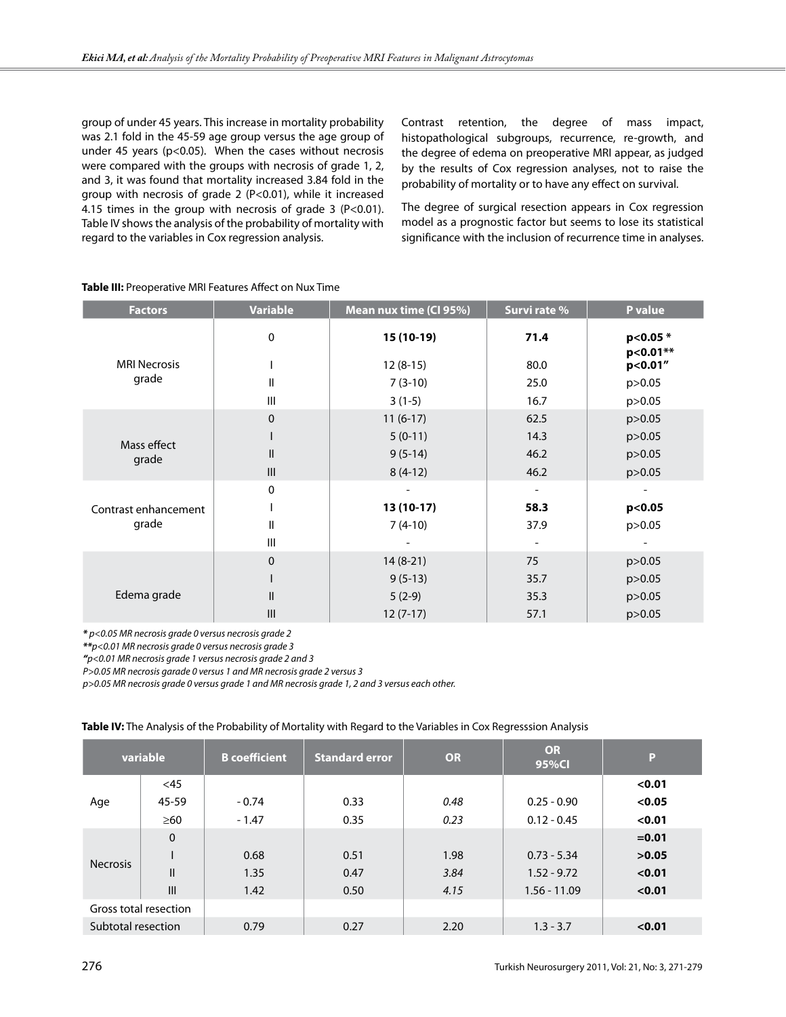group of under 45 years. This increase in mortality probability was 2.1 fold in the 45-59 age group versus the age group of under 45 years (p<0.05). When the cases without necrosis were compared with the groups with necrosis of grade 1, 2, and 3, it was found that mortality increased 3.84 fold in the group with necrosis of grade 2 (P<0.01), while it increased 4.15 times in the group with necrosis of grade  $3$  (P<0.01). Table IV shows the analysis of the probability of mortality with regard to the variables in Cox regression analysis.

Contrast retention, the degree of mass impact, histopathological subgroups, recurrence, re-growth, and the degree of edema on preoperative MRI appear, as judged by the results of Cox regression analyses, not to raise the probability of mortality or to have any effect on survival.

The degree of surgical resection appears in Cox regression model as a prognostic factor but seems to lose its statistical significance with the inclusion of recurrence time in analyses.

| <b>Factors</b>                | <b>Variable</b> | Mean nux time (CI 95%) | Survi rate %             | P value              |
|-------------------------------|-----------------|------------------------|--------------------------|----------------------|
|                               | 0               | $15(10-19)$            | 71.4                     | p<0.05 *<br>p<0.01** |
| <b>MRI Necrosis</b><br>grade  |                 | $12(8-15)$             | 80.0                     | p<0.01"              |
|                               | $\mathsf{II}$   | $7(3-10)$              | 25.0                     | p > 0.05             |
|                               | Ш               | $3(1-5)$               | 16.7                     | p>0.05               |
| Mass effect<br>grade          | $\pmb{0}$       | $11(6-17)$             | 62.5                     | p>0.05               |
|                               |                 | $5(0-11)$              | 14.3                     | p > 0.05             |
|                               | $\mathsf{II}$   | $9(5-14)$              | 46.2                     | p>0.05               |
|                               | III             | $8(4-12)$              | 46.2                     | p>0.05               |
| Contrast enhancement<br>grade | 0               |                        | $\overline{\phantom{a}}$ |                      |
|                               |                 | 13 (10-17)             | 58.3                     | p<0.05               |
|                               | Ш               | $7(4-10)$              | 37.9                     | p > 0.05             |
|                               | Ш               |                        |                          |                      |
| Edema grade                   | $\mathbf 0$     | $14(8-21)$             | 75                       | p>0.05               |
|                               |                 | $9(5-13)$              | 35.7                     | p>0.05               |
|                               | $\mathsf{II}$   | $5(2-9)$               | 35.3                     | p>0.05               |
|                               | Ш               | $12(7-17)$             | 57.1                     | p > 0.05             |

## **Table III:** Preoperative MRI Features Affect on Nux Time

*\* p<0.05 MR necrosis grade 0 versus necrosis grade 2* 

*\*\*p<0.01 MR necrosis grade 0 versus necrosis grade 3*

*"p<0.01 MR necrosis grade 1 versus necrosis grade 2 and 3*

*P>0.05 MR necrosis garade 0 versus 1 and MR necrosis grade 2 versus 3*

*p>0.05 MR necrosis grade 0 versus grade 1 and MR necrosis grade 1, 2 and 3 versus each other.*

|                       | variable     | <b>B</b> coefficient | <b>Standard error</b> | <b>OR</b> | <b>OR</b><br>95%Cl | P        |
|-----------------------|--------------|----------------------|-----------------------|-----------|--------------------|----------|
| Age                   | $<$ 45       |                      |                       |           |                    | < 0.01   |
|                       | 45-59        | $-0.74$              | 0.33                  | 0.48      | $0.25 - 0.90$      | < 0.05   |
|                       | $\geq 60$    | $-1.47$              | 0.35                  | 0.23      | $0.12 - 0.45$      | < 0.01   |
| <b>Necrosis</b>       | $\mathbf 0$  |                      |                       |           |                    | $= 0.01$ |
|                       |              | 0.68                 | 0.51                  | 1.98      | $0.73 - 5.34$      | >0.05    |
|                       | $\mathsf{I}$ | 1.35                 | 0.47                  | 3.84      | $1.52 - 9.72$      | < 0.01   |
|                       | III          | 1.42                 | 0.50                  | 4.15      | $1.56 - 11.09$     | < 0.01   |
| Gross total resection |              |                      |                       |           |                    |          |
| Subtotal resection    |              | 0.79                 | 0.27                  | 2.20      | $1.3 - 3.7$        | < 0.01   |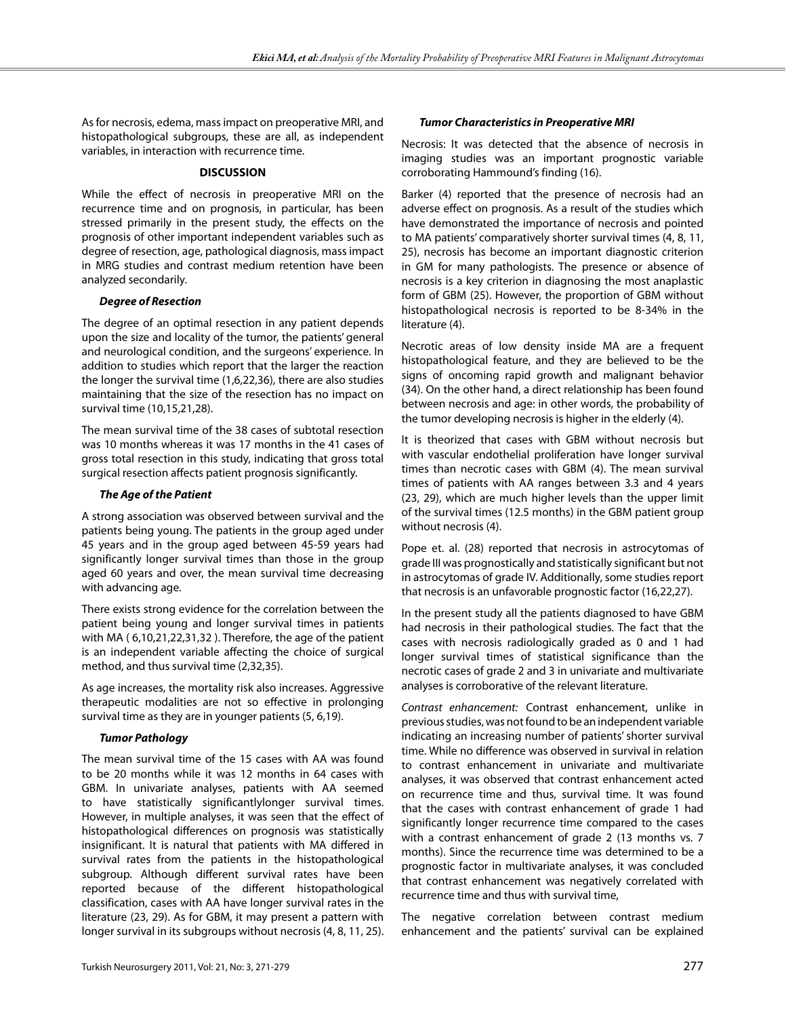As for necrosis, edema, mass impact on preoperative MRI, and histopathological subgroups, these are all, as independent variables, in interaction with recurrence time.

## **DISCUSSION**

While the effect of necrosis in preoperative MRI on the recurrence time and on prognosis, in particular, has been stressed primarily in the present study, the effects on the prognosis of other important independent variables such as degree of resection, age, pathological diagnosis, mass impact in MRG studies and contrast medium retention have been analyzed secondarily.

# *Degree of Resection*

The degree of an optimal resection in any patient depends upon the size and locality of the tumor, the patients' general and neurological condition, and the surgeons' experience. In addition to studies which report that the larger the reaction the longer the survival time (1,6,22,36), there are also studies maintaining that the size of the resection has no impact on survival time (10,15,21,28).

The mean survival time of the 38 cases of subtotal resection was 10 months whereas it was 17 months in the 41 cases of gross total resection in this study, indicating that gross total surgical resection affects patient prognosis significantly.

# *The Age of the Patient*

A strong association was observed between survival and the patients being young. The patients in the group aged under 45 years and in the group aged between 45-59 years had significantly longer survival times than those in the group aged 60 years and over, the mean survival time decreasing with advancing age.

There exists strong evidence for the correlation between the patient being young and longer survival times in patients with MA ( 6,10,21,22,31,32 ). Therefore, the age of the patient is an independent variable affecting the choice of surgical method, and thus survival time (2,32,35).

As age increases, the mortality risk also increases. Aggressive therapeutic modalities are not so effective in prolonging survival time as they are in younger patients (5, 6,19).

# *Tumor Pathology*

The mean survival time of the 15 cases with AA was found to be 20 months while it was 12 months in 64 cases with GBM. In univariate analyses, patients with AA seemed to have statistically significantlylonger survival times. However, in multiple analyses, it was seen that the effect of histopathological differences on prognosis was statistically insignificant. It is natural that patients with MA differed in survival rates from the patients in the histopathological subgroup. Although different survival rates have been reported because of the different histopathological classification, cases with AA have longer survival rates in the literature (23, 29). As for GBM, it may present a pattern with longer survival in its subgroups without necrosis (4, 8, 11, 25).

# *Tumor Characteristics in Preoperative MRI*

Necrosis: It was detected that the absence of necrosis in imaging studies was an important prognostic variable corroborating Hammound's finding (16).

Barker (4) reported that the presence of necrosis had an adverse effect on prognosis. As a result of the studies which have demonstrated the importance of necrosis and pointed to MA patients' comparatively shorter survival times (4, 8, 11, 25), necrosis has become an important diagnostic criterion in GM for many pathologists. The presence or absence of necrosis is a key criterion in diagnosing the most anaplastic form of GBM (25). However, the proportion of GBM without histopathological necrosis is reported to be 8-34% in the literature (4).

Necrotic areas of low density inside MA are a frequent histopathological feature, and they are believed to be the signs of oncoming rapid growth and malignant behavior (34). On the other hand, a direct relationship has been found between necrosis and age: in other words, the probability of the tumor developing necrosis is higher in the elderly (4).

It is theorized that cases with GBM without necrosis but with vascular endothelial proliferation have longer survival times than necrotic cases with GBM (4). The mean survival times of patients with AA ranges between 3.3 and 4 years (23, 29), which are much higher levels than the upper limit of the survival times (12.5 months) in the GBM patient group without necrosis (4).

Pope et. al. (28) reported that necrosis in astrocytomas of grade III was prognostically and statistically significant but not in astrocytomas of grade IV. Additionally, some studies report that necrosis is an unfavorable prognostic factor (16,22,27).

In the present study all the patients diagnosed to have GBM had necrosis in their pathological studies. The fact that the cases with necrosis radiologically graded as 0 and 1 had longer survival times of statistical significance than the necrotic cases of grade 2 and 3 in univariate and multivariate analyses is corroborative of the relevant literature.

*Contrast enhancement:* Contrast enhancement, unlike in previous studies, was not found to be an independent variable indicating an increasing number of patients' shorter survival time. While no difference was observed in survival in relation to contrast enhancement in univariate and multivariate analyses, it was observed that contrast enhancement acted on recurrence time and thus, survival time. It was found that the cases with contrast enhancement of grade 1 had significantly longer recurrence time compared to the cases with a contrast enhancement of grade 2 (13 months vs. 7 months). Since the recurrence time was determined to be a prognostic factor in multivariate analyses, it was concluded that contrast enhancement was negatively correlated with recurrence time and thus with survival time,

The negative correlation between contrast medium enhancement and the patients' survival can be explained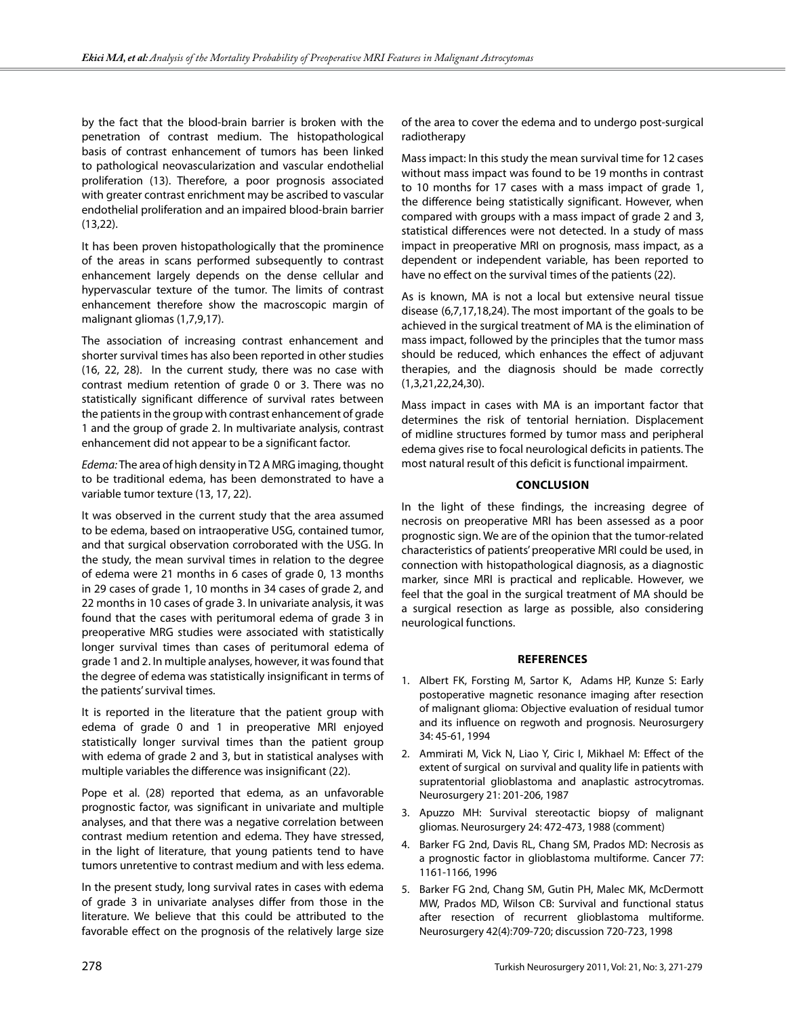by the fact that the blood-brain barrier is broken with the penetration of contrast medium. The histopathological basis of contrast enhancement of tumors has been linked to pathological neovascularization and vascular endothelial proliferation (13). Therefore, a poor prognosis associated with greater contrast enrichment may be ascribed to vascular endothelial proliferation and an impaired blood-brain barrier (13,22).

It has been proven histopathologically that the prominence of the areas in scans performed subsequently to contrast enhancement largely depends on the dense cellular and hypervascular texture of the tumor. The limits of contrast enhancement therefore show the macroscopic margin of malignant gliomas (1,7,9,17).

The association of increasing contrast enhancement and shorter survival times has also been reported in other studies (16, 22, 28). In the current study, there was no case with contrast medium retention of grade 0 or 3. There was no statistically significant difference of survival rates between the patients in the group with contrast enhancement of grade 1 and the group of grade 2. In multivariate analysis, contrast enhancement did not appear to be a significant factor.

*Edema:* The area of high density in T2 A MRG imaging, thought to be traditional edema, has been demonstrated to have a variable tumor texture (13, 17, 22).

It was observed in the current study that the area assumed to be edema, based on intraoperative USG, contained tumor, and that surgical observation corroborated with the USG. In the study, the mean survival times in relation to the degree of edema were 21 months in 6 cases of grade 0, 13 months in 29 cases of grade 1, 10 months in 34 cases of grade 2, and 22 months in 10 cases of grade 3. In univariate analysis, it was found that the cases with peritumoral edema of grade 3 in preoperative MRG studies were associated with statistically longer survival times than cases of peritumoral edema of grade 1 and 2. In multiple analyses, however, it was found that the degree of edema was statistically insignificant in terms of the patients' survival times.

It is reported in the literature that the patient group with edema of grade 0 and 1 in preoperative MRI enjoyed statistically longer survival times than the patient group with edema of grade 2 and 3, but in statistical analyses with multiple variables the difference was insignificant (22).

Pope et al. (28) reported that edema, as an unfavorable prognostic factor, was significant in univariate and multiple analyses, and that there was a negative correlation between contrast medium retention and edema. They have stressed, in the light of literature, that young patients tend to have tumors unretentive to contrast medium and with less edema.

In the present study, long survival rates in cases with edema of grade 3 in univariate analyses differ from those in the literature. We believe that this could be attributed to the favorable effect on the prognosis of the relatively large size

of the area to cover the edema and to undergo post-surgical radiotherapy

Mass impact: In this study the mean survival time for 12 cases without mass impact was found to be 19 months in contrast to 10 months for 17 cases with a mass impact of grade 1, the difference being statistically significant. However, when compared with groups with a mass impact of grade 2 and 3, statistical differences were not detected. In a study of mass impact in preoperative MRI on prognosis, mass impact, as a dependent or independent variable, has been reported to have no effect on the survival times of the patients (22).

As is known, MA is not a local but extensive neural tissue disease (6,7,17,18,24). The most important of the goals to be achieved in the surgical treatment of MA is the elimination of mass impact, followed by the principles that the tumor mass should be reduced, which enhances the effect of adjuvant therapies, and the diagnosis should be made correctly (1,3,21,22,24,30).

Mass impact in cases with MA is an important factor that determines the risk of tentorial herniation. Displacement of midline structures formed by tumor mass and peripheral edema gives rise to focal neurological deficits in patients. The most natural result of this deficit is functional impairment.

## **ConclusIon**

In the light of these findings, the increasing degree of necrosis on preoperative MRI has been assessed as a poor prognostic sign. We are of the opinion that the tumor-related characteristics of patients' preoperative MRI could be used, in connection with histopathological diagnosis, as a diagnostic marker, since MRI is practical and replicable. However, we feel that the goal in the surgical treatment of MA should be a surgical resection as large as possible, also considering neurological functions.

## **References**

- 1. Albert FK, Forsting M, Sartor K, Adams HP, Kunze S: Early postoperative magnetic resonance imaging after resection of malignant glioma: Objective evaluation of residual tumor and its influence on regwoth and prognosis. Neurosurgery 34: 45-61, 1994
- 2. Ammirati M, Vick N, Liao Y, Ciric I, Mikhael M: Effect of the extent of surgical on survival and quality life in patients with supratentorial glioblastoma and anaplastic astrocytromas. Neurosurgery 21: 201-206, 1987
- 3. Apuzzo MH: Survival stereotactic biopsy of malignant gliomas. Neurosurgery 24: 472-473, 1988 (comment)
- 4. Barker FG 2nd, Davis RL, Chang SM, Prados MD: Necrosis as a prognostic factor in glioblastoma multiforme. Cancer 77: 1161-1166, 1996
- 5. Barker FG 2nd, Chang SM, Gutin PH, Malec MK, McDermott MW, Prados MD, Wilson CB: Survival and functional status after resection of recurrent glioblastoma multiforme. Neurosurgery 42(4):709-720; discussion 720-723, 1998